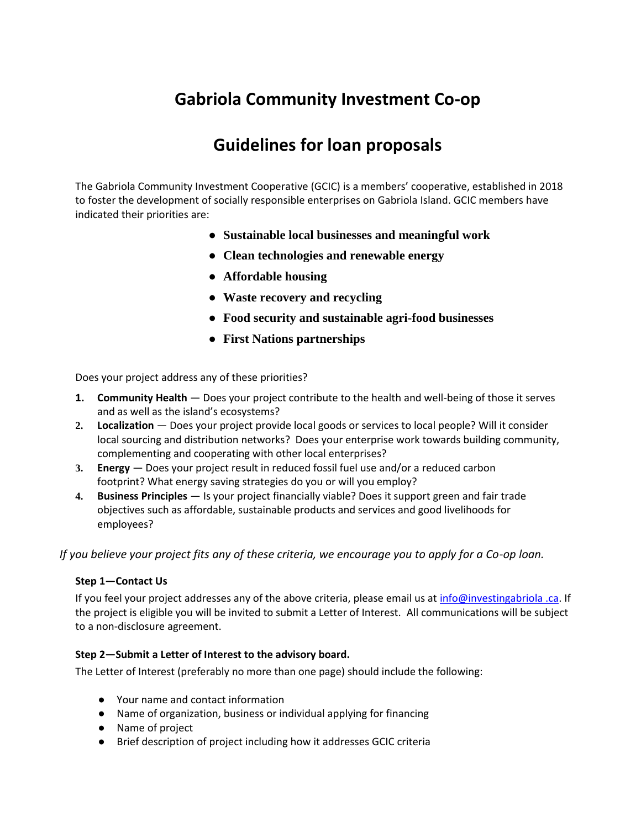# **Gabriola Community Investment Co-op**

## **Guidelines for loan proposals**

The Gabriola Community Investment Cooperative (GCIC) is a members' cooperative, established in 2018 to foster the development of socially responsible enterprises on Gabriola Island. GCIC members have indicated their priorities are:

- **Sustainable local businesses and meaningful work**
- **Clean technologies and renewable energy**
- **Affordable housing**
- **Waste recovery and recycling**
- **Food security and sustainable agri-food businesses**
- **First Nations partnerships**

Does your project address any of these priorities?

- **1. Community Health**  Does your project contribute to the health and well-being of those it serves and as well as the island's ecosystems?
- **2. Localization** Does your project provide local goods or services to local people? Will it consider local sourcing and distribution networks? Does your enterprise work towards building community, complementing and cooperating with other local enterprises?
- **3. Energy**  Does your project result in reduced fossil fuel use and/or a reduced carbon footprint? What energy saving strategies do you or will you employ?
- **4. Business Principles**  Is your project financially viable? Does it support green and fair trade objectives such as affordable, sustainable products and services and good livelihoods for employees?

*If you believe your project fits any of these criteria, we encourage you to apply for a Co-op loan.* 

#### **Step 1—Contact Us**

If you feel your project addresses any of the above criteria, please email us at info@investingabriola .ca. If the project is eligible you will be invited to submit a Letter of Interest. All communications will be subject to a non-disclosure agreement.

#### **Step 2—Submit a Letter of Interest to the advisory board.**

The Letter of Interest (preferably no more than one page) should include the following:

- Your name and contact information
- Name of organization, business or individual applying for financing
- Name of project
- Brief description of project including how it addresses GCIC criteria